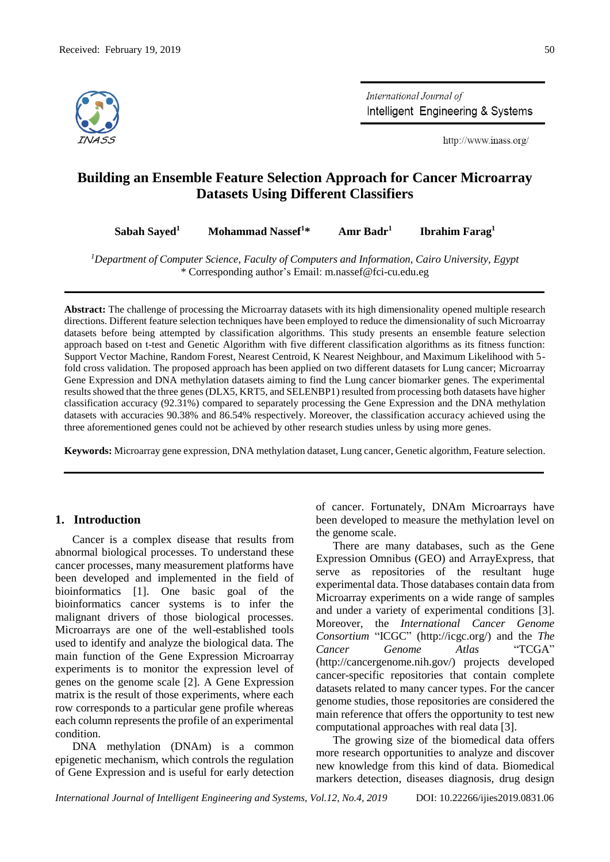

International Journal of Intelligent Engineering & Systems

http://www.inass.org/

# **Building an Ensemble Feature Selection Approach for Cancer Microarray Datasets Using Different Classifiers**

**Sabah Sayed<sup>1</sup> Mohammad Nassef<sup>1</sup>\* Amr Badr<sup>1</sup> Ibrahim Farag<sup>1</sup>**

*<sup>1</sup>Department of Computer Science, Faculty of Computers and Information, Cairo University, Egypt* \* Corresponding author's Email: m.nassef@fci-cu.edu.eg

**Abstract:** The challenge of processing the Microarray datasets with its high dimensionality opened multiple research directions. Different feature selection techniques have been employed to reduce the dimensionality of such Microarray datasets before being attempted by classification algorithms. This study presents an ensemble feature selection approach based on t-test and Genetic Algorithm with five different classification algorithms as its fitness function: Support Vector Machine, Random Forest, Nearest Centroid, K Nearest Neighbour, and Maximum Likelihood with 5 fold cross validation. The proposed approach has been applied on two different datasets for Lung cancer; Microarray Gene Expression and DNA methylation datasets aiming to find the Lung cancer biomarker genes. The experimental results showed that the three genes (DLX5, KRT5, and SELENBP1) resulted from processing both datasets have higher classification accuracy (92.31%) compared to separately processing the Gene Expression and the DNA methylation datasets with accuracies 90.38% and 86.54% respectively. Moreover, the classification accuracy achieved using the three aforementioned genes could not be achieved by other research studies unless by using more genes.

**Keywords:** Microarray gene expression, DNA methylation dataset, Lung cancer, Genetic algorithm, Feature selection.

# **1. Introduction**

Cancer is a complex disease that results from abnormal biological processes. To understand these cancer processes, many measurement platforms have been developed and implemented in the field of bioinformatics [1]. One basic goal of the bioinformatics cancer systems is to infer the malignant drivers of those biological processes. Microarrays are one of the well-established tools used to identify and analyze the biological data. The main function of the Gene Expression Microarray experiments is to monitor the expression level of genes on the genome scale [2]. A Gene Expression matrix is the result of those experiments, where each row corresponds to a particular gene profile whereas each column represents the profile of an experimental condition.

DNA methylation (DNAm) is a common epigenetic mechanism, which controls the regulation of Gene Expression and is useful for early detection

of cancer. Fortunately, DNAm Microarrays have been developed to measure the methylation level on the genome scale.

There are many databases, such as the Gene Expression Omnibus (GEO) and ArrayExpress, that serve as repositories of the resultant huge experimental data. Those databases contain data from Microarray experiments on a wide range of samples and under a variety of experimental conditions [3]. Moreover, the *International Cancer Genome Consortium* "ICGC" (http://icgc.org/) and the *The Cancer Genome Atlas* "TCGA" (http://cancergenome.nih.gov/) projects developed cancer-specific repositories that contain complete datasets related to many cancer types. For the cancer genome studies, those repositories are considered the main reference that offers the opportunity to test new computational approaches with real data [3].

The growing size of the biomedical data offers more research opportunities to analyze and discover new knowledge from this kind of data. Biomedical markers detection, diseases diagnosis, drug design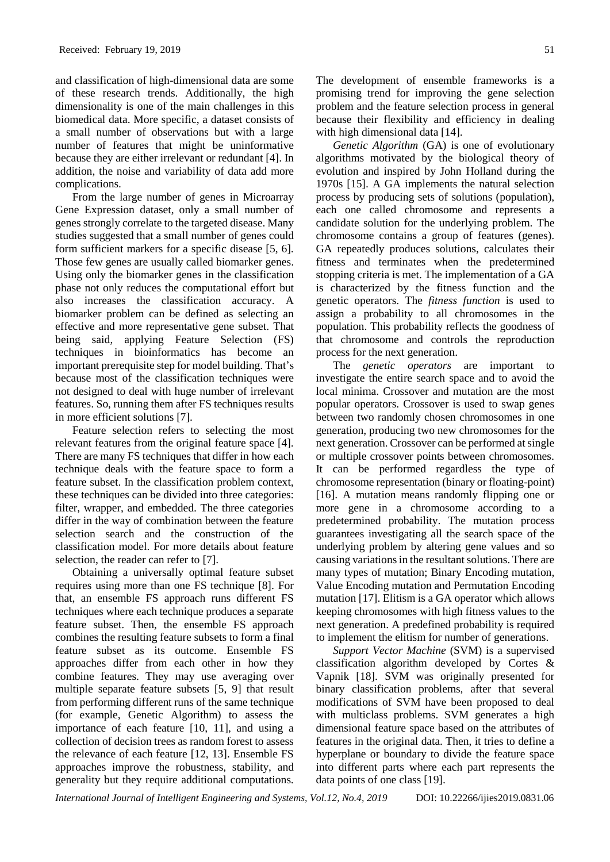and classification of high-dimensional data are some of these research trends. Additionally, the high dimensionality is one of the main challenges in this biomedical data. More specific, a dataset consists of a small number of observations but with a large number of features that might be uninformative because they are either irrelevant or redundant [4]. In addition, the noise and variability of data add more complications.

From the large number of genes in Microarray Gene Expression dataset, only a small number of genes strongly correlate to the targeted disease. Many studies suggested that a small number of genes could form sufficient markers for a specific disease [5, 6]. Those few genes are usually called biomarker genes. Using only the biomarker genes in the classification phase not only reduces the computational effort but also increases the classification accuracy. A biomarker problem can be defined as selecting an effective and more representative gene subset. That being said, applying Feature Selection (FS) techniques in bioinformatics has become an important prerequisite step for model building. That's because most of the classification techniques were not designed to deal with huge number of irrelevant features. So, running them after FS techniques results in more efficient solutions [7].

Feature selection refers to selecting the most relevant features from the original feature space [4]. There are many FS techniques that differ in how each technique deals with the feature space to form a feature subset. In the classification problem context, these techniques can be divided into three categories: filter, wrapper, and embedded. The three categories differ in the way of combination between the feature selection search and the construction of the classification model. For more details about feature selection, the reader can refer to [7].

Obtaining a universally optimal feature subset requires using more than one FS technique [8]. For that, an ensemble FS approach runs different FS techniques where each technique produces a separate feature subset. Then, the ensemble FS approach combines the resulting feature subsets to form a final feature subset as its outcome. Ensemble FS approaches differ from each other in how they combine features. They may use averaging over multiple separate feature subsets [5, 9] that result from performing different runs of the same technique (for example, Genetic Algorithm) to assess the importance of each feature [10, 11], and using a collection of decision trees as random forest to assess the relevance of each feature [12, 13]. Ensemble FS approaches improve the robustness, stability, and generality but they require additional computations.

The development of ensemble frameworks is a promising trend for improving the gene selection problem and the feature selection process in general because their flexibility and efficiency in dealing with high dimensional data [14].

*Genetic Algorithm* (GA) is one of evolutionary algorithms motivated by the biological theory of evolution and inspired by John Holland during the 1970s [15]. A GA implements the natural selection process by producing sets of solutions (population), each one called chromosome and represents a candidate solution for the underlying problem. The chromosome contains a group of features (genes). GA repeatedly produces solutions, calculates their fitness and terminates when the predetermined stopping criteria is met. The implementation of a GA is characterized by the fitness function and the genetic operators. The *fitness function* is used to assign a probability to all chromosomes in the population. This probability reflects the goodness of that chromosome and controls the reproduction process for the next generation.

The *genetic operators* are important to investigate the entire search space and to avoid the local minima. Crossover and mutation are the most popular operators. Crossover is used to swap genes between two randomly chosen chromosomes in one generation, producing two new chromosomes for the next generation. Crossover can be performed at single or multiple crossover points between chromosomes. It can be performed regardless the type of chromosome representation (binary or floating-point) [16]. A mutation means randomly flipping one or more gene in a chromosome according to a predetermined probability. The mutation process guarantees investigating all the search space of the underlying problem by altering gene values and so causing variations in the resultant solutions. There are many types of mutation; Binary Encoding mutation, Value Encoding mutation and Permutation Encoding mutation [17]. Elitism is a GA operator which allows keeping chromosomes with high fitness values to the next generation. A predefined probability is required to implement the elitism for number of generations.

*Support Vector Machine* (SVM) is a supervised classification algorithm developed by Cortes & Vapnik [18]. SVM was originally presented for binary classification problems, after that several modifications of SVM have been proposed to deal with multiclass problems. SVM generates a high dimensional feature space based on the attributes of features in the original data. Then, it tries to define a hyperplane or boundary to divide the feature space into different parts where each part represents the data points of one class [19].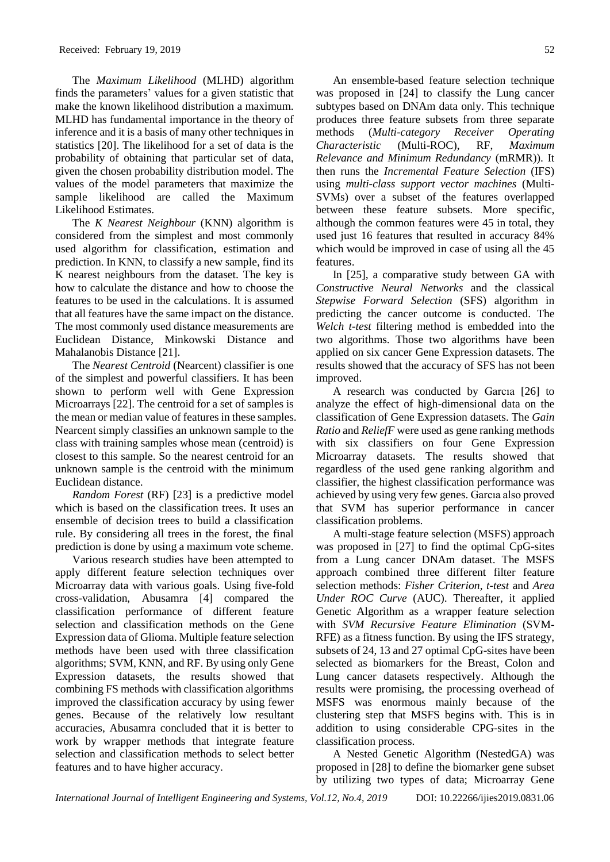The *Maximum Likelihood* (MLHD) algorithm finds the parameters' values for a given statistic that make the known likelihood distribution a maximum. MLHD has fundamental importance in the theory of inference and it is a basis of many other techniques in statistics [20]. The likelihood for a set of data is the probability of obtaining that particular set of data, given the chosen probability distribution model. The values of the model parameters that maximize the sample likelihood are called the Maximum Likelihood Estimates.

The *K Nearest Neighbour* (KNN) algorithm is considered from the simplest and most commonly used algorithm for classification, estimation and prediction. In KNN, to classify a new sample, find its K nearest neighbours from the dataset. The key is how to calculate the distance and how to choose the features to be used in the calculations. It is assumed that all features have the same impact on the distance. The most commonly used distance measurements are Euclidean Distance, Minkowski Distance and Mahalanobis Distance [21].

The *Nearest Centroid* (Nearcent) classifier is one of the simplest and powerful classifiers. It has been shown to perform well with Gene Expression Microarrays [22]. The centroid for a set of samples is the mean or median value of features in these samples. Nearcent simply classifies an unknown sample to the class with training samples whose mean (centroid) is closest to this sample. So the nearest centroid for an unknown sample is the centroid with the minimum Euclidean distance.

*Random Forest* (RF) [23] is a predictive model which is based on the classification trees. It uses an ensemble of decision trees to build a classification rule. By considering all trees in the forest, the final prediction is done by using a maximum vote scheme.

Various research studies have been attempted to apply different feature selection techniques over Microarray data with various goals. Using five-fold cross-validation, Abusamra [4] compared the classification performance of different feature selection and classification methods on the Gene Expression data of Glioma. Multiple feature selection methods have been used with three classification algorithms; SVM, KNN, and RF. By using only Gene Expression datasets, the results showed that combining FS methods with classification algorithms improved the classification accuracy by using fewer genes. Because of the relatively low resultant accuracies, Abusamra concluded that it is better to work by wrapper methods that integrate feature selection and classification methods to select better features and to have higher accuracy.

An ensemble-based feature selection technique was proposed in [24] to classify the Lung cancer subtypes based on DNAm data only. This technique produces three feature subsets from three separate methods (*Multi-category Receiver Operating Characteristic* (Multi-ROC), RF, *Maximum Relevance and Minimum Redundancy* (mRMR)). It then runs the *Incremental Feature Selection* (IFS) using *multi-class support vector machines* (Multi-SVMs) over a subset of the features overlapped between these feature subsets. More specific, although the common features were 45 in total, they used just 16 features that resulted in accuracy 84% which would be improved in case of using all the 45 features.

In [25], a comparative study between GA with *Constructive Neural Networks* and the classical *Stepwise Forward Selection* (SFS) algorithm in predicting the cancer outcome is conducted. The *Welch t-test* filtering method is embedded into the two algorithms. Those two algorithms have been applied on six cancer Gene Expression datasets. The results showed that the accuracy of SFS has not been improved.

A research was conducted by Garcıa [26] to analyze the effect of high-dimensional data on the classification of Gene Expression datasets. The *Gain Ratio* and *ReliefF* were used as gene ranking methods with six classifiers on four Gene Expression Microarray datasets. The results showed that regardless of the used gene ranking algorithm and classifier, the highest classification performance was achieved by using very few genes. Garcıa also proved that SVM has superior performance in cancer classification problems.

A multi-stage feature selection (MSFS) approach was proposed in [27] to find the optimal CpG-sites from a Lung cancer DNAm dataset. The MSFS approach combined three different filter feature selection methods: *Fisher Criterion*, *t-test* and *Area Under ROC Curve* (AUC). Thereafter, it applied Genetic Algorithm as a wrapper feature selection with *SVM Recursive Feature Elimination* (SVM-RFE) as a fitness function. By using the IFS strategy, subsets of 24, 13 and 27 optimal CpG-sites have been selected as biomarkers for the Breast, Colon and Lung cancer datasets respectively. Although the results were promising, the processing overhead of MSFS was enormous mainly because of the clustering step that MSFS begins with. This is in addition to using considerable CPG-sites in the classification process.

A Nested Genetic Algorithm (NestedGA) was proposed in [28] to define the biomarker gene subset by utilizing two types of data; Microarray Gene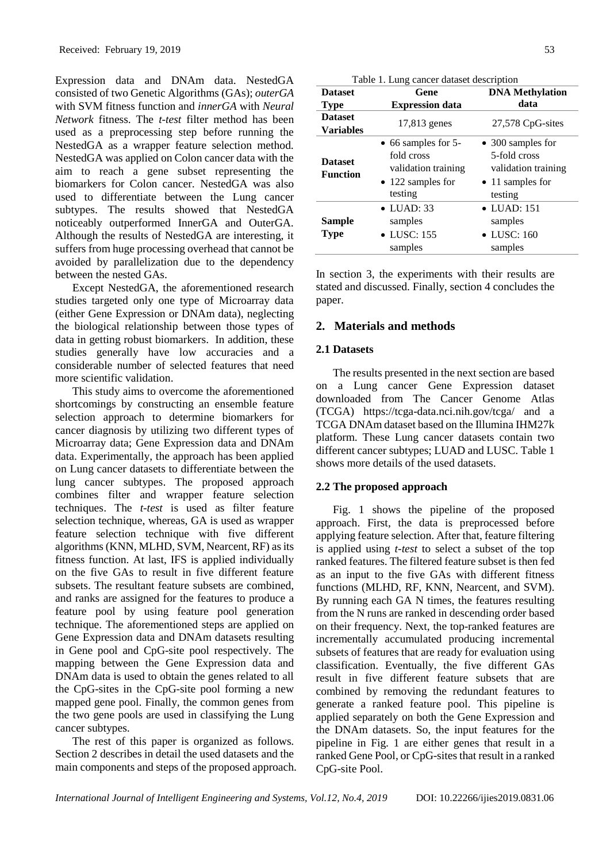Expression data and DNAm data. NestedGA consisted of two Genetic Algorithms (GAs); *outerGA* with SVM fitness function and *innerGA* with *Neural Network* fitness. The *t-test* filter method has been used as a preprocessing step before running the NestedGA as a wrapper feature selection method. NestedGA was applied on Colon cancer data with the aim to reach a gene subset representing the biomarkers for Colon cancer. NestedGA was also used to differentiate between the Lung cancer subtypes. The results showed that NestedGA noticeably outperformed InnerGA and OuterGA. Although the results of NestedGA are interesting, it suffers from huge processing overhead that cannot be avoided by parallelization due to the dependency between the nested GAs.

Except NestedGA, the aforementioned research studies targeted only one type of Microarray data (either Gene Expression or DNAm data), neglecting the biological relationship between those types of data in getting robust biomarkers. In addition, these studies generally have low accuracies and a considerable number of selected features that need more scientific validation.

This study aims to overcome the aforementioned shortcomings by constructing an ensemble feature selection approach to determine biomarkers for cancer diagnosis by utilizing two different types of Microarray data; Gene Expression data and DNAm data. Experimentally, the approach has been applied on Lung cancer datasets to differentiate between the lung cancer subtypes. The proposed approach combines filter and wrapper feature selection techniques. The *t-test* is used as filter feature selection technique, whereas, GA is used as wrapper feature selection technique with five different algorithms (KNN, MLHD, SVM, Nearcent, RF) as its fitness function. At last, IFS is applied individually on the five GAs to result in five different feature subsets. The resultant feature subsets are combined, and ranks are assigned for the features to produce a feature pool by using feature pool generation technique. The aforementioned steps are applied on Gene Expression data and DNAm datasets resulting in Gene pool and CpG-site pool respectively. The mapping between the Gene Expression data and DNAm data is used to obtain the genes related to all the CpG-sites in the CpG-site pool forming a new mapped gene pool. Finally, the common genes from the two gene pools are used in classifying the Lung cancer subtypes.

The rest of this paper is organized as follows. Section 2 describes in detail the used datasets and the main components and steps of the proposed approach.

| Table 1. Lung cancer dataset description |                                                                                                          |                                                                                                 |  |
|------------------------------------------|----------------------------------------------------------------------------------------------------------|-------------------------------------------------------------------------------------------------|--|
| <b>Dataset</b>                           | <b>DNA Methylation</b><br>Gene                                                                           |                                                                                                 |  |
| <b>Type</b>                              | <b>Expression data</b>                                                                                   | data                                                                                            |  |
| <b>Dataset</b><br><b>Variables</b>       | 17,813 genes                                                                                             | 27,578 CpG-sites                                                                                |  |
| <b>Dataset</b><br><b>Function</b>        | $\bullet$ 66 samples for 5-<br>fold cross<br>validation training<br>$\bullet$ 122 samples for<br>testing | • 300 samples for<br>5-fold cross<br>validation training<br>$\bullet$ 11 samples for<br>testing |  |
| Sample<br>Type                           | $\bullet$ LUAD: 33<br>samples<br>$\bullet$ LUSC: 155<br>samples                                          | $\bullet$ LUAD: 151<br>samples<br>$\bullet$ LUSC: 160<br>samples                                |  |

In section 3, the experiments with their results are stated and discussed. Finally, section 4 concludes the paper.

# **2. Materials and methods**

## **2.1 Datasets**

The results presented in the next section are based on a Lung cancer Gene Expression dataset downloaded from The Cancer Genome Atlas (TCGA) https://tcga-data.nci.nih.gov/tcga/ and a TCGA DNAm dataset based on the Illumina IHM27k platform. These Lung cancer datasets contain two different cancer subtypes; LUAD and LUSC. Table 1 shows more details of the used datasets.

# **2.2 The proposed approach**

Fig. 1 shows the pipeline of the proposed approach. First, the data is preprocessed before applying feature selection. After that, feature filtering is applied using *t-test* to select a subset of the top ranked features. The filtered feature subset is then fed as an input to the five GAs with different fitness functions (MLHD, RF, KNN, Nearcent, and SVM). By running each GA N times, the features resulting from the N runs are ranked in descending order based on their frequency. Next, the top-ranked features are incrementally accumulated producing incremental subsets of features that are ready for evaluation using classification. Eventually, the five different GAs result in five different feature subsets that are combined by removing the redundant features to generate a ranked feature pool. This pipeline is applied separately on both the Gene Expression and the DNAm datasets. So, the input features for the pipeline in Fig. 1 are either genes that result in a ranked Gene Pool, or CpG-sites that result in a ranked CpG-site Pool.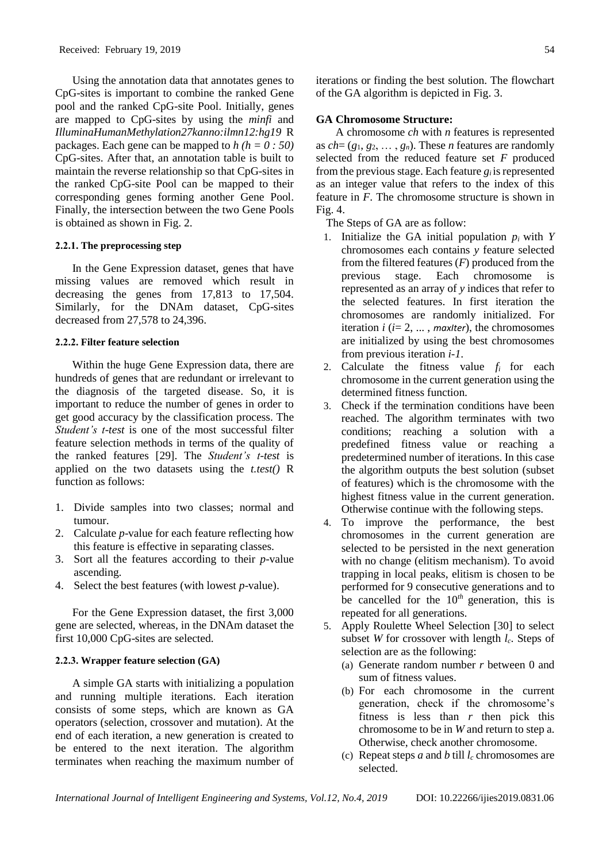Using the annotation data that annotates genes to CpG-sites is important to combine the ranked Gene pool and the ranked CpG-site Pool. Initially, genes are mapped to CpG-sites by using the *minfi* and *IlluminaHumanMethylation27kanno:ilmn12:hg19* R packages. Each gene can be mapped to *h (h = 0 : 50)* CpG-sites. After that, an annotation table is built to maintain the reverse relationship so that CpG-sites in the ranked CpG-site Pool can be mapped to their corresponding genes forming another Gene Pool. Finally, the intersection between the two Gene Pools is obtained as shown in Fig. 2.

## **2.2.1. The preprocessing step**

In the Gene Expression dataset, genes that have missing values are removed which result in decreasing the genes from  $17,813$  to  $17,504$ . Similarly, for the DNAm dataset, CpG-sites decreased from 27,578 to 24,396.

# **2.2.2. Filter feature selection**

Within the huge Gene Expression data, there are hundreds of genes that are redundant or irrelevant to the diagnosis of the targeted disease. So, it is important to reduce the number of genes in order to get good accuracy by the classification process. The *Student's t-test* is one of the most successful filter feature selection methods in terms of the quality of the ranked features [29]. The *Student's t-test* is applied on the two datasets using the *t.test()* R function as follows:

- 1. Divide samples into two classes; normal and tumour.
- 2. Calculate *p*-value for each feature reflecting how this feature is effective in separating classes.
- 3. Sort all the features according to their *p*-value ascending.
- 4. Select the best features (with lowest *p*-value).

For the Gene Expression dataset, the first 3,000 gene are selected, whereas, in the DNAm dataset the first 10,000 CpG-sites are selected.

## **2.2.3. Wrapper feature selection (GA)**

A simple GA starts with initializing a population and running multiple iterations. Each iteration consists of some steps, which are known as GA operators (selection, crossover and mutation). At the end of each iteration, a new generation is created to be entered to the next iteration. The algorithm terminates when reaching the maximum number of iterations or finding the best solution. The flowchart of the GA algorithm is depicted in Fig. 3.

## **GA Chromosome Structure:**

A chromosome *ch* with *n* features is represented as  $ch = (g_1, g_2, \ldots, g_n)$ . These *n* features are randomly selected from the reduced feature set *F* produced from the previous stage. Each feature  $g_i$  is represented as an integer value that refers to the index of this feature in *F*. The chromosome structure is shown in Fig. 4.

The Steps of GA are as follow:

- 1. Initialize the GA initial population  $p_i$  with  $Y$ chromosomes each contains *y* feature selected from the filtered features (*F*) produced from the previous stage. Each chromosome is represented as an array of *y* indices that refer to the selected features. In first iteration the chromosomes are randomly initialized. For iteration  $i$  ( $i = 2, \ldots,$  *maxIter*), the chromosomes are initialized by using the best chromosomes from previous iteration *i-1*.
- 2. Calculate the fitness value  $f_i$  for each chromosome in the current generation using the determined fitness function.
- 3. Check if the termination conditions have been reached. The algorithm terminates with two conditions; reaching a solution with a predefined fitness value or reaching a predetermined number of iterations. In this case the algorithm outputs the best solution (subset of features) which is the chromosome with the highest fitness value in the current generation. Otherwise continue with the following steps.
- 4. To improve the performance, the best chromosomes in the current generation are selected to be persisted in the next generation with no change (elitism mechanism). To avoid trapping in local peaks, elitism is chosen to be performed for 9 consecutive generations and to be cancelled for the 10*th* generation, this is repeated for all generations.
- 5. Apply Roulette Wheel Selection [30] to select subset *W* for crossover with length *lc*. Steps of selection are as the following:
	- (a) Generate random number *r* between 0 and sum of fitness values.
	- (b) For each chromosome in the current generation, check if the chromosome's fitness is less than *r* then pick this chromosome to be in *W* and return to step a. Otherwise, check another chromosome.
	- (c) Repeat steps *a* and *b* till  $l_c$  chromosomes are selected.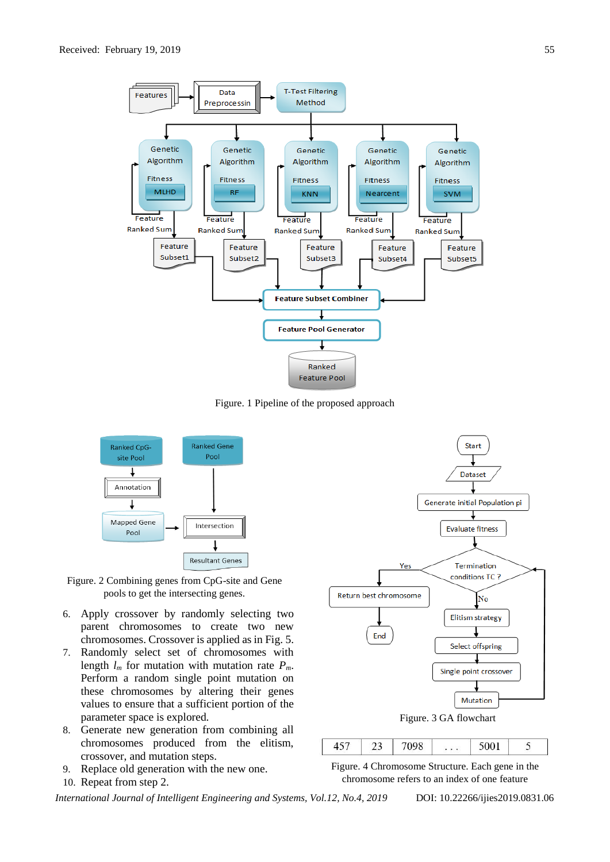

Figure. 1 Pipeline of the proposed approach



Figure. 2 Combining genes from CpG-site and Gene pools to get the intersecting genes.

- 6. Apply crossover by randomly selecting two parent chromosomes to create two new chromosomes. Crossover is applied as in Fig. 5.
- 7. Randomly select set of chromosomes with length  $l_m$  for mutation with mutation rate  $P_m$ . Perform a random single point mutation on these chromosomes by altering their genes values to ensure that a sufficient portion of the parameter space is explored.
- 8. Generate new generation from combining all chromosomes produced from the elitism, crossover, and mutation steps.
- 9. Replace old generation with the new one.
- 10. Repeat from step 2.



Figure. 4 Chromosome Structure. Each gene in the chromosome refers to an index of one feature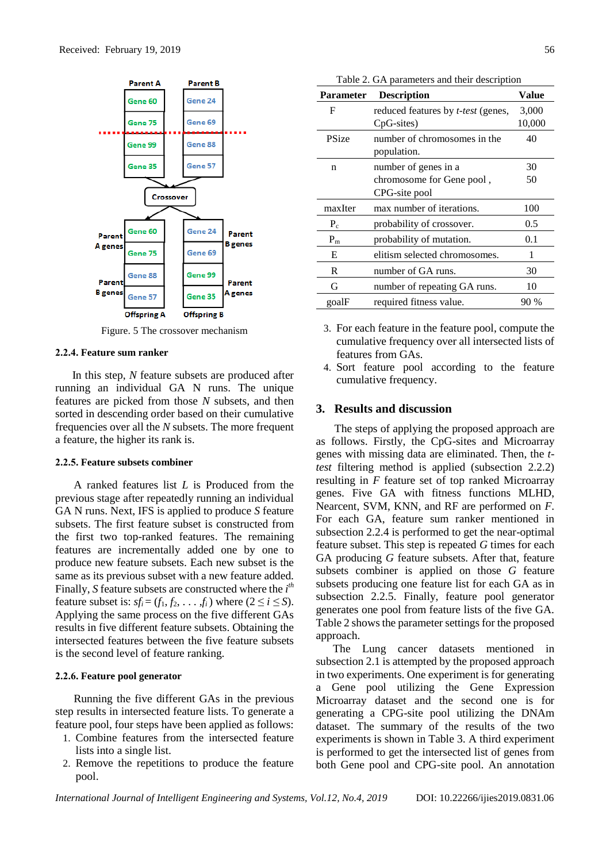

Figure. 5 The crossover mechanism

#### **2.2.4. Feature sum ranker**

In this step, *N* feature subsets are produced after running an individual GA N runs. The unique features are picked from those *N* subsets, and then sorted in descending order based on their cumulative frequencies over all the *N* subsets. The more frequent a feature, the higher its rank is.

#### **2.2.5. Feature subsets combiner**

A ranked features list *L* is Produced from the previous stage after repeatedly running an individual GA N runs. Next, IFS is applied to produce *S* feature subsets. The first feature subset is constructed from the first two top-ranked features. The remaining features are incrementally added one by one to produce new feature subsets. Each new subset is the same as its previous subset with a new feature added. Finally, *S* feature subsets are constructed where the *i th* feature subset is:  $sf_i = (f_1, f_2, \ldots, f_i)$  where  $(2 \le i \le S)$ . Applying the same process on the five different GAs results in five different feature subsets. Obtaining the intersected features between the five feature subsets is the second level of feature ranking.

#### **2.2.6. Feature pool generator**

Running the five different GAs in the previous step results in intersected feature lists. To generate a feature pool, four steps have been applied as follows:

- 1. Combine features from the intersected feature lists into a single list.
- 2. Remove the repetitions to produce the feature pool.

| <b>Parameter</b> | <b>Description</b>                        | Value  |
|------------------|-------------------------------------------|--------|
| F                | reduced features by <i>t-test</i> (genes, | 3,000  |
|                  | CpG-sites)                                | 10,000 |
| PSize            | number of chromosomes in the              | 40     |
|                  | population.                               |        |
| n                | number of genes in a                      | 30     |
|                  | chromosome for Gene pool,                 | 50     |
|                  | CPG-site pool                             |        |
| maxIter          | max number of iterations.                 | 100    |
| $P_c$            | probability of crossover.                 | 0.5    |
| $P_{m}$          | probability of mutation.                  | 0.1    |
| E                | elitism selected chromosomes.             | 1      |
| R                | number of GA runs.                        | 30     |
| G                | number of repeating GA runs.              | 10     |
| goalF            | required fitness value.                   | 90 %   |

Table 2. GA parameters and their description

3. For each feature in the feature pool, compute the cumulative frequency over all intersected lists of features from GAs.

4. Sort feature pool according to the feature cumulative frequency.

# **3. Results and discussion**

The steps of applying the proposed approach are as follows. Firstly, the CpG-sites and Microarray genes with missing data are eliminated. Then, the *ttest* filtering method is applied (subsection 2.2.2) resulting in *F* feature set of top ranked Microarray genes. Five GA with fitness functions MLHD, Nearcent, SVM, KNN, and RF are performed on *F*. For each GA, feature sum ranker mentioned in subsection 2.2.4 is performed to get the near-optimal feature subset. This step is repeated *G* times for each GA producing *G* feature subsets. After that, feature subsets combiner is applied on those *G* feature subsets producing one feature list for each GA as in subsection 2.2.5. Finally, feature pool generator generates one pool from feature lists of the five GA. Table 2 shows the parameter settings for the proposed approach.

The Lung cancer datasets mentioned in subsection 2.1 is attempted by the proposed approach in two experiments. One experiment is for generating a Gene pool utilizing the Gene Expression Microarray dataset and the second one is for generating a CPG-site pool utilizing the DNAm dataset. The summary of the results of the two experiments is shown in Table 3. A third experiment is performed to get the intersected list of genes from both Gene pool and CPG-site pool. An annotation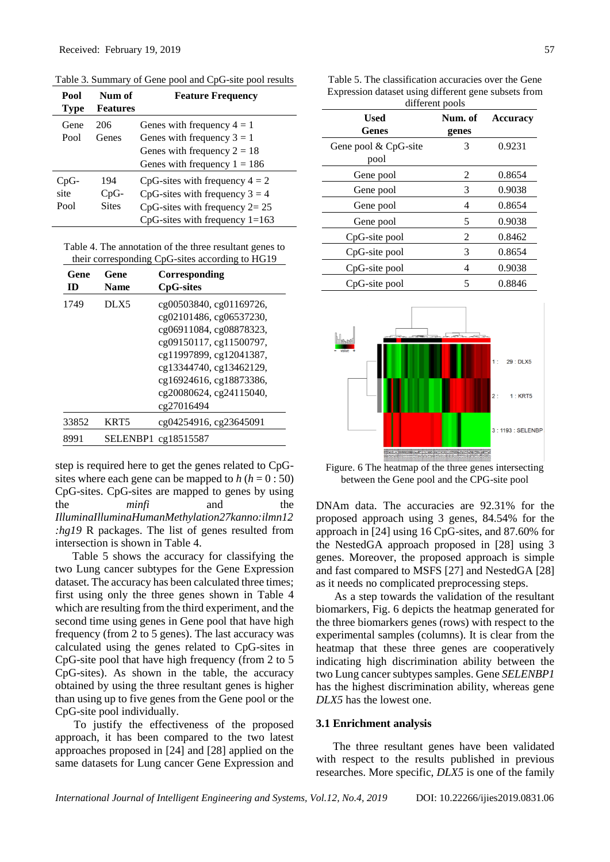| Pool<br><b>Type</b>  | Num of<br><b>Features</b>     | <b>Feature Frequency</b>                                                                                                                                                            |
|----------------------|-------------------------------|-------------------------------------------------------------------------------------------------------------------------------------------------------------------------------------|
| Gene<br>Pool         | 206<br>Genes                  | Genes with frequency $4 = 1$<br>Genes with frequency $3 = 1$<br>Genes with frequency $2 = 18$                                                                                       |
| CpG-<br>site<br>Pool | 194<br>$CpG-$<br><b>Sites</b> | Genes with frequency $1 = 186$<br>CpG-sites with frequency $4 = 2$<br>CpG-sites with frequency $3 = 4$<br>$CpG$ -sites with frequency $2=25$<br>$CpG$ -sites with frequency $1=163$ |

Table 3. Summary of Gene pool and CpG-site pool results

Table 4. The annotation of the three resultant genes to their corresponding CpG-sites according to HG19

| Gene<br>ID | Gene<br><b>Name</b> | Corresponding<br><b>CpG-sites</b>                                                                                                                                                                                                  |
|------------|---------------------|------------------------------------------------------------------------------------------------------------------------------------------------------------------------------------------------------------------------------------|
| 1749       | DI.X5               | cg00503840, cg01169726,<br>cg02101486, cg06537230,<br>cg06911084, cg08878323,<br>cg09150117, cg11500797,<br>cg11997899, cg12041387,<br>cg13344740, cg13462129,<br>cg16924616, cg18873386,<br>cg20080624, cg24115040,<br>cg27016494 |
| 33852      | KRT5                | cg04254916, cg23645091                                                                                                                                                                                                             |
| 8991       |                     | SELENBP1 cg18515587                                                                                                                                                                                                                |

step is required here to get the genes related to CpGsites where each gene can be mapped to  $h (h = 0:50)$ CpG-sites. CpG-sites are mapped to genes by using the *minfi* and the *IlluminaIlluminaHumanMethylation27kanno:ilmn12 :hg19* R packages. The list of genes resulted from intersection is shown in Table 4.

Table 5 shows the accuracy for classifying the two Lung cancer subtypes for the Gene Expression dataset. The accuracy has been calculated three times; first using only the three genes shown in Table 4 which are resulting from the third experiment, and the second time using genes in Gene pool that have high frequency (from 2 to 5 genes). The last accuracy was calculated using the genes related to CpG-sites in CpG-site pool that have high frequency (from 2 to 5 CpG-sites). As shown in the table, the accuracy obtained by using the three resultant genes is higher than using up to five genes from the Gene pool or the CpG-site pool individually.

To justify the effectiveness of the proposed approach, it has been compared to the two latest approaches proposed in [24] and [28] applied on the same datasets for Lung cancer Gene Expression and Table 5. The classification accuracies over the Gene Expression dataset using different gene subsets from different pools

| <b>Used</b><br><b>Genes</b>  | Num. of<br>genes | <b>Accuracy</b> |  |  |
|------------------------------|------------------|-----------------|--|--|
| Gene pool & CpG-site<br>pool | 3                | 0.9231          |  |  |
| Gene pool                    | 2                | 0.8654          |  |  |
| Gene pool                    | 3                | 0.9038          |  |  |
| Gene pool                    | 4                | 0.8654          |  |  |
| Gene pool                    | 5                | 0.9038          |  |  |
| CpG-site pool                | 2                | 0.8462          |  |  |
| CpG-site pool                | 3                | 0.8654          |  |  |
| CpG-site pool                | 4                | 0.9038          |  |  |
| CpG-site pool                | 5                | 0.8846          |  |  |



Figure. 6 The heatmap of the three genes intersecting between the Gene pool and the CPG-site pool

DNAm data. The accuracies are 92.31% for the proposed approach using 3 genes, 84.54% for the approach in [24] using 16 CpG-sites, and 87.60% for the NestedGA approach proposed in [28] using 3 genes. Moreover, the proposed approach is simple and fast compared to MSFS [27] and NestedGA [28] as it needs no complicated preprocessing steps.

As a step towards the validation of the resultant biomarkers, Fig. 6 depicts the heatmap generated for the three biomarkers genes (rows) with respect to the experimental samples (columns). It is clear from the heatmap that these three genes are cooperatively indicating high discrimination ability between the two Lung cancer subtypes samples. Gene *SELENBP1*  has the highest discrimination ability, whereas gene *DLX5* has the lowest one.

#### **3.1 Enrichment analysis**

The three resultant genes have been validated with respect to the results published in previous researches. More specific, *DLX5* is one of the family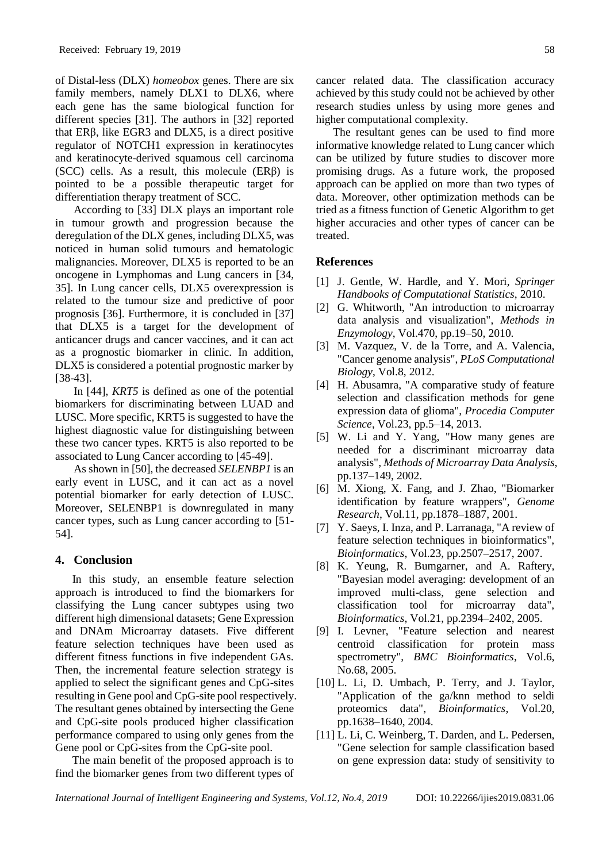of Distal-less (DLX) *homeobox* genes. There are six family members, namely DLX1 to DLX6, where each gene has the same biological function for different species [31]. The authors in [32] reported that ERβ, like EGR3 and DLX5, is a direct positive regulator of NOTCH1 expression in keratinocytes and keratinocyte-derived squamous cell carcinoma (SCC) cells. As a result, this molecule  $(ER\beta)$  is pointed to be a possible therapeutic target for differentiation therapy treatment of SCC.

According to [33] DLX plays an important role in tumour growth and progression because the deregulation of the DLX genes, including DLX5, was noticed in human solid tumours and hematologic malignancies. Moreover, DLX5 is reported to be an oncogene in Lymphomas and Lung cancers in [34, 35]. In Lung cancer cells, DLX5 overexpression is related to the tumour size and predictive of poor prognosis [36]. Furthermore, it is concluded in [37] that DLX5 is a target for the development of anticancer drugs and cancer vaccines, and it can act as a prognostic biomarker in clinic. In addition, DLX5 is considered a potential prognostic marker by [38-43].

In [44], *KRT5* is defined as one of the potential biomarkers for discriminating between LUAD and LUSC. More specific, KRT5 is suggested to have the highest diagnostic value for distinguishing between these two cancer types. KRT5 is also reported to be associated to Lung Cancer according to [45-49].

As shown in [50], the decreased *SELENBP1* is an early event in LUSC, and it can act as a novel potential biomarker for early detection of LUSC. Moreover, SELENBP1 is downregulated in many cancer types, such as Lung cancer according to [51- 54].

# **4. Conclusion**

In this study, an ensemble feature selection approach is introduced to find the biomarkers for classifying the Lung cancer subtypes using two different high dimensional datasets; Gene Expression and DNAm Microarray datasets. Five different feature selection techniques have been used as different fitness functions in five independent GAs. Then, the incremental feature selection strategy is applied to select the significant genes and CpG-sites resulting in Gene pool and CpG-site pool respectively. The resultant genes obtained by intersecting the Gene and CpG-site pools produced higher classification performance compared to using only genes from the Gene pool or CpG-sites from the CpG-site pool.

The main benefit of the proposed approach is to find the biomarker genes from two different types of cancer related data. The classification accuracy achieved by this study could not be achieved by other research studies unless by using more genes and higher computational complexity.

The resultant genes can be used to find more informative knowledge related to Lung cancer which can be utilized by future studies to discover more promising drugs. As a future work, the proposed approach can be applied on more than two types of data. Moreover, other optimization methods can be tried as a fitness function of Genetic Algorithm to get higher accuracies and other types of cancer can be treated.

# **References**

- [1] J. Gentle, W. Hardle, and Y. Mori, *Springer Handbooks of Computational Statistics*, 2010.
- [2] G. Whitworth, "An introduction to microarray data analysis and visualization", *Methods in Enzymology*, Vol.470, pp.19–50, 2010.
- [3] M. Vazquez, V. de la Torre, and A. Valencia, "Cancer genome analysis", *PLoS Computational Biology*, Vol.8, 2012.
- [4] H. Abusamra, "A comparative study of feature selection and classification methods for gene expression data of glioma", *Procedia Computer Science*, Vol.23, pp.5–14, 2013.
- [5] W. Li and Y. Yang, "How many genes are needed for a discriminant microarray data analysis", *Methods of Microarray Data Analysis*, pp.137–149, 2002.
- [6] M. Xiong, X. Fang, and J. Zhao, "Biomarker identification by feature wrappers", *Genome Research*, Vol.11, pp.1878–1887, 2001.
- [7] Y. Saeys, I. Inza, and P. Larranaga, "A review of feature selection techniques in bioinformatics", *Bioinformatics*, Vol.23, pp.2507–2517, 2007.
- [8] K. Yeung, R. Bumgarner, and A. Raftery, "Bayesian model averaging: development of an improved multi-class, gene selection and classification tool for microarray data", *Bioinformatics*, Vol.21, pp.2394–2402, 2005.
- [9] I. Levner, "Feature selection and nearest centroid classification for protein mass spectrometry", *BMC Bioinformatics*, Vol.6, No.68, 2005.
- [10] L. Li, D. Umbach, P. Terry, and J. Taylor, "Application of the ga/knn method to seldi proteomics data", *Bioinformatics*, Vol.20, pp.1638–1640, 2004.
- [11] L. Li, C. Weinberg, T. Darden, and L. Pedersen, "Gene selection for sample classification based on gene expression data: study of sensitivity to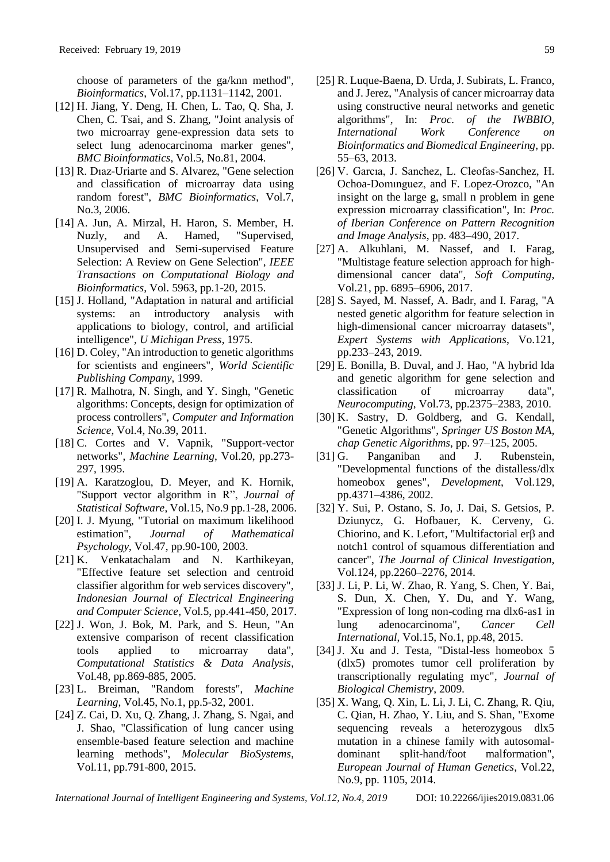choose of parameters of the ga/knn method", *Bioinformatics*, Vol.17, pp.1131–1142, 2001.

- [12] H. Jiang, Y. Deng, H. Chen, L. Tao, Q. Sha, J. Chen, C. Tsai, and S. Zhang, "Joint analysis of two microarray gene-expression data sets to select lung adenocarcinoma marker genes", *BMC Bioinformatics*, Vol.5, No.81, 2004.
- [13] R. Dıaz-Uriarte and S. Alvarez, "Gene selection and classification of microarray data using random forest", *BMC Bioinformatics*, Vol.7, No.3, 2006.
- [14] A. Jun, A. Mirzal, H. Haron, S. Member, H. Nuzly, and A. Hamed, "Supervised, Unsupervised and Semi-supervised Feature Selection: A Review on Gene Selection", *IEEE Transactions on Computational Biology and Bioinformatics*, Vol. 5963, pp.1-20, 2015.
- [15] J. Holland, "Adaptation in natural and artificial systems: an introductory analysis with applications to biology, control, and artificial intelligence", *U Michigan Press*, 1975.
- [16] D. Coley, "An introduction to genetic algorithms for scientists and engineers", *World Scientific Publishing Company*, 1999.
- [17] R. Malhotra, N. Singh, and Y. Singh, "Genetic algorithms: Concepts, design for optimization of process controllers", *Computer and Information Science*, Vol.4, No.39, 2011.
- [18] C. Cortes and V. Vapnik, "Support-vector networks", *Machine Learning*, Vol.20, pp.273- 297, 1995.
- [19] A. Karatzoglou, D. Meyer, and K. Hornik, "Support vector algorithm in R", *Journal of Statistical Software*, Vol.15, No.9 pp.1-28, 2006.
- [20] I. J. Myung, "Tutorial on maximum likelihood estimation", *Journal of Mathematical Psychology*, Vol.47, pp.90-100, 2003.
- [21] K. Venkatachalam and N. Karthikeyan, "Effective feature set selection and centroid classifier algorithm for web services discovery", *Indonesian Journal of Electrical Engineering and Computer Science*, Vol.5, pp.441-450, 2017.
- [22] J. Won, J. Bok, M. Park, and S. Heun, "An extensive comparison of recent classification tools applied to microarray data", *Computational Statistics & Data Analysis*, Vol.48, pp.869-885, 2005.
- [23] L. Breiman, "Random forests", *Machine Learning*, Vol.45, No.1, pp.5-32, 2001.
- [24] Z. Cai, D. Xu, Q. Zhang, J. Zhang, S. Ngai, and J. Shao, "Classification of lung cancer using ensemble-based feature selection and machine learning methods", *Molecular BioSystems*, Vol.11, pp.791-800, 2015.
- [25] R. Luque-Baena, D. Urda, J. Subirats, L. Franco, and J. Jerez, "Analysis of cancer microarray data using constructive neural networks and genetic algorithms", In: *Proc. of the IWBBIO, International Work Conference on Bioinformatics and Biomedical Engineering*, pp. 55–63, 2013.
- [26] V. Garcıa, J. Sanchez, L. Cleofas-Sanchez, H. Ochoa-Domınguez, and F. Lopez-Orozco, "An insight on the large g, small n problem in gene expression microarray classification", In: *Proc. of Iberian Conference on Pattern Recognition and Image Analysis*, pp. 483–490, 2017.
- [27] A. Alkuhlani, M. Nassef, and I. Farag, "Multistage feature selection approach for highdimensional cancer data", *Soft Computing*, Vol.21, pp. 6895–6906, 2017.
- [28] S. Sayed, M. Nassef, A. Badr, and I. Farag, "A nested genetic algorithm for feature selection in high-dimensional cancer microarray datasets", *Expert Systems with Applications*, Vo.121, pp.233–243, 2019.
- [29] E. Bonilla, B. Duval, and J. Hao, "A hybrid lda and genetic algorithm for gene selection and classification of microarray data", *Neurocomputing*, Vol.73, pp.2375–2383, 2010.
- [30] K. Sastry, D. Goldberg, and G. Kendall, "Genetic Algorithms", *Springer US Boston MA, chap Genetic Algorithms*, pp. 97–125, 2005.
- [31] G. Panganiban and J. Rubenstein, "Developmental functions of the distalless/dlx homeobox genes", *Development*, Vol.129, pp.4371–4386, 2002.
- [32] Y. Sui, P. Ostano, S. Jo, J. Dai, S. Getsios, P. Dziunycz, G. Hofbauer, K. Cerveny, G. Chiorino, and K. Lefort, "Multifactorial erβ and notch1 control of squamous differentiation and cancer", *The Journal of Clinical Investigation*, Vol.124, pp.2260–2276, 2014.
- [33] J. Li, P. Li, W. Zhao, R. Yang, S. Chen, Y. Bai, S. Dun, X. Chen, Y. Du, and Y. Wang, "Expression of long non-coding rna dlx6-as1 in lung adenocarcinoma", *Cancer Cell International*, Vol.15, No.1, pp.48, 2015.
- [34] J. Xu and J. Testa, "Distal-less homeobox 5 (dlx5) promotes tumor cell proliferation by transcriptionally regulating myc", *Journal of Biological Chemistry*, 2009.
- [35] X. Wang, Q. Xin, L. Li, J. Li, C. Zhang, R. Qiu, C. Qian, H. Zhao, Y. Liu, and S. Shan, "Exome sequencing reveals a heterozygous dlx5 mutation in a chinese family with autosomaldominant split-hand/foot malformation", *European Journal of Human Genetics*, Vol.22, No.9, pp. 1105, 2014.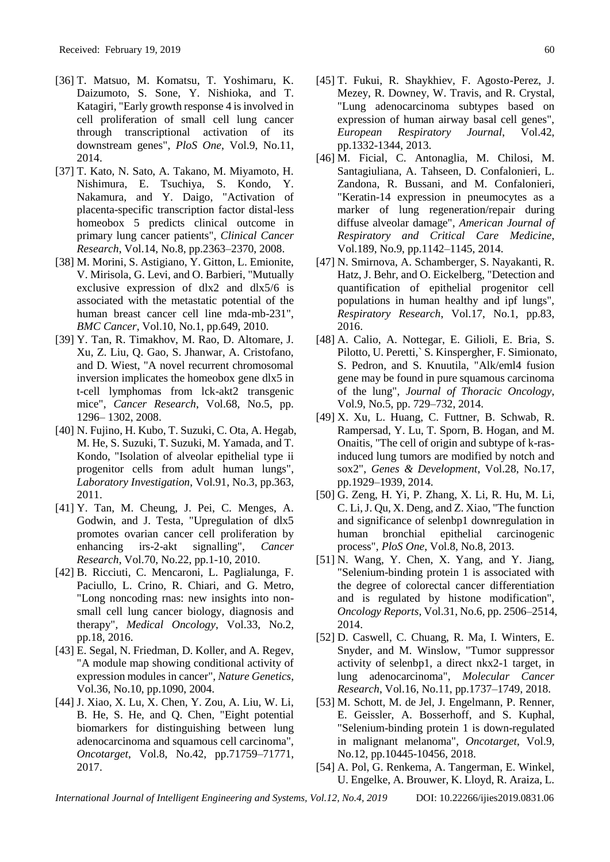- [36] T. Matsuo, M. Komatsu, T. Yoshimaru, K. Daizumoto, S. Sone, Y. Nishioka, and T. Katagiri, "Early growth response 4 is involved in cell proliferation of small cell lung cancer through transcriptional activation of its downstream genes", *PloS One*, Vol.9, No.11, 2014.
- [37] T. Kato, N. Sato, A. Takano, M. Miyamoto, H. Nishimura, E. Tsuchiya, S. Kondo, Y. Nakamura, and Y. Daigo, "Activation of placenta-specific transcription factor distal-less homeobox 5 predicts clinical outcome in primary lung cancer patients", *Clinical Cancer Research*, Vol.14, No.8, pp.2363–2370, 2008.
- [38] M. Morini, S. Astigiano, Y. Gitton, L. Emionite, V. Mirisola, G. Levi, and O. Barbieri, "Mutually exclusive expression of dlx2 and dlx5/6 is associated with the metastatic potential of the human breast cancer cell line mda-mb-231", *BMC Cancer*, Vol.10, No.1, pp.649, 2010.
- [39] Y. Tan, R. Timakhov, M. Rao, D. Altomare, J. Xu, Z. Liu, Q. Gao, S. Jhanwar, A. Cristofano, and D. Wiest, "A novel recurrent chromosomal inversion implicates the homeobox gene dlx5 in t-cell lymphomas from lck-akt2 transgenic mice", *Cancer Research*, Vol.68, No.5, pp. 1296– 1302, 2008.
- [40] N. Fujino, H. Kubo, T. Suzuki, C. Ota, A. Hegab, M. He, S. Suzuki, T. Suzuki, M. Yamada, and T. Kondo, "Isolation of alveolar epithelial type ii progenitor cells from adult human lungs", *Laboratory Investigation*, Vol.91, No.3, pp.363, 2011.
- [41] Y. Tan, M. Cheung, J. Pei, C. Menges, A. Godwin, and J. Testa, "Upregulation of dlx5 promotes ovarian cancer cell proliferation by enhancing irs-2-akt signalling", *Cancer Research*, Vol.70, No.22, pp.1-10, 2010.
- [42] B. Ricciuti, C. Mencaroni, L. Paglialunga, F. Paciullo, L. Crino, R. Chiari, and G. Metro, "Long noncoding rnas: new insights into nonsmall cell lung cancer biology, diagnosis and therapy", *Medical Oncology*, Vol.33, No.2, pp.18, 2016.
- [43] E. Segal, N. Friedman, D. Koller, and A. Regev, "A module map showing conditional activity of expression modules in cancer", *Nature Genetics*, Vol.36, No.10, pp.1090, 2004.
- [44] J. Xiao, X. Lu, X. Chen, Y. Zou, A. Liu, W. Li, B. He, S. He, and Q. Chen, "Eight potential biomarkers for distinguishing between lung adenocarcinoma and squamous cell carcinoma", *Oncotarget*, Vol.8, No.42, pp.71759–71771, 2017.
- [45] T. Fukui, R. Shaykhiev, F. Agosto-Perez, J. Mezey, R. Downey, W. Travis, and R. Crystal, "Lung adenocarcinoma subtypes based on expression of human airway basal cell genes", *European Respiratory Journal*, Vol.42, pp.1332-1344, 2013.
- [46] M. Ficial, C. Antonaglia, M. Chilosi, M. Santagiuliana, A. Tahseen, D. Confalonieri, L. Zandona, R. Bussani, and M. Confalonieri, "Keratin-14 expression in pneumocytes as a marker of lung regeneration/repair during diffuse alveolar damage", *American Journal of Respiratory and Critical Care Medicine*, Vol.189, No.9, pp.1142–1145, 2014.
- [47] N. Smirnova, A. Schamberger, S. Nayakanti, R. Hatz, J. Behr, and O. Eickelberg, "Detection and quantification of epithelial progenitor cell populations in human healthy and ipf lungs", *Respiratory Research*, Vol.17, No.1, pp.83, 2016.
- [48] A. Calio, A. Nottegar, E. Gilioli, E. Bria, S. Pilotto, U. Peretti,` S. Kinspergher, F. Simionato, S. Pedron, and S. Knuutila, "Alk/eml4 fusion gene may be found in pure squamous carcinoma of the lung", *Journal of Thoracic Oncology*, Vol.9, No.5, pp. 729–732, 2014.
- [49] X. Xu, L. Huang, C. Futtner, B. Schwab, R. Rampersad, Y. Lu, T. Sporn, B. Hogan, and M. Onaitis, "The cell of origin and subtype of k-rasinduced lung tumors are modified by notch and sox2", *Genes & Development*, Vol.28, No.17, pp.1929–1939, 2014.
- [50] G. Zeng, H. Yi, P. Zhang, X. Li, R. Hu, M. Li, C. Li, J. Qu, X. Deng, and Z. Xiao, "The function and significance of selenbp1 downregulation in human bronchial epithelial carcinogenic process", *PloS One*, Vol.8, No.8, 2013.
- [51] N. Wang, Y. Chen, X. Yang, and Y. Jiang, "Selenium-binding protein 1 is associated with the degree of colorectal cancer differentiation and is regulated by histone modification", *Oncology Reports*, Vol.31, No.6, pp. 2506–2514, 2014.
- [52] D. Caswell, C. Chuang, R. Ma, I. Winters, E. Snyder, and M. Winslow, "Tumor suppressor activity of selenbp1, a direct nkx2-1 target, in lung adenocarcinoma", *Molecular Cancer Research*, Vol.16, No.11, pp.1737–1749, 2018.
- [53] M. Schott, M. de Jel, J. Engelmann, P. Renner, E. Geissler, A. Bosserhoff, and S. Kuphal, "Selenium-binding protein 1 is down-regulated in malignant melanoma", *Oncotarget*, Vol.9, No.12, pp.10445-10456, 2018.
- [54] A. Pol, G. Renkema, A. Tangerman, E. Winkel, U. Engelke, A. Brouwer, K. Lloyd, R. Araiza, L.